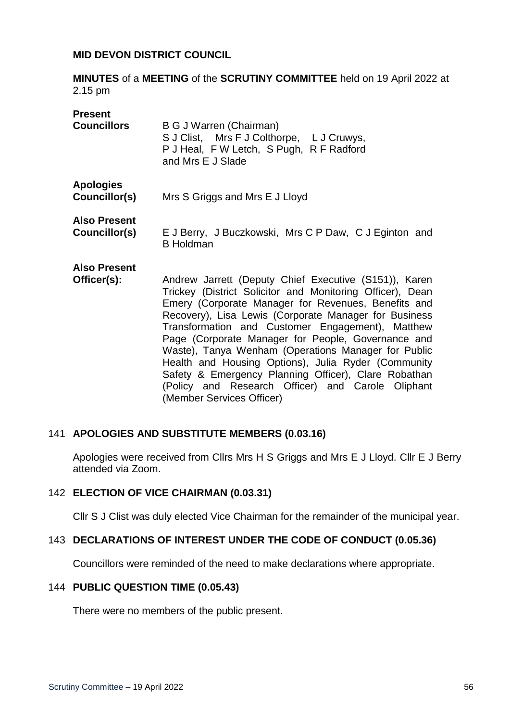#### **MID DEVON DISTRICT COUNCIL**

**MINUTES** of a **MEETING** of the **SCRUTINY COMMITTEE** held on 19 April 2022 at 2.15 pm

| <b>Present</b>      |                                                                                                                                       |
|---------------------|---------------------------------------------------------------------------------------------------------------------------------------|
| <b>Councillors</b>  | B G J Warren (Chairman)<br>S J Clist, Mrs F J Colthorpe, L J Cruwys,<br>P J Heal, F W Letch, S Pugh, R F Radford<br>and Mrs E J Slade |
| <b>Apologies</b>    |                                                                                                                                       |
| Councillor(s)       | Mrs S Griggs and Mrs E J Lloyd                                                                                                        |
| <b>Also Present</b> |                                                                                                                                       |
| Councillor(s)       | E J Berry, J Buczkowski, Mrs C P Daw, C J Eginton and<br><b>B</b> Holdman                                                             |
| <b>Also Present</b> |                                                                                                                                       |
| Officer(s):         | Andrew Jarrett (Deputy Chief Executive (S151)), Karen                                                                                 |
|                     | Trickey (District Solicitor and Monitoring Officer), Dean                                                                             |
|                     | Emery (Corporate Manager for Revenues, Benefits and                                                                                   |
|                     | Recovery), Lisa Lewis (Corporate Manager for Business                                                                                 |
|                     |                                                                                                                                       |
|                     | Transformation and Customer Engagement), Matthew                                                                                      |

Apologies were received from Cllrs Mrs H S Griggs and Mrs E J Lloyd. Cllr E J Berry attended via Zoom.

Page (Corporate Manager for People, Governance and Waste), Tanya Wenham (Operations Manager for Public Health and Housing Options), Julia Ryder (Community Safety & Emergency Planning Officer), Clare Robathan (Policy and Research Officer) and Carole Oliphant

#### 142 **ELECTION OF VICE CHAIRMAN (0.03.31)**

141 **APOLOGIES AND SUBSTITUTE MEMBERS (0.03.16)**

Cllr S J Clist was duly elected Vice Chairman for the remainder of the municipal year.

### 143 **DECLARATIONS OF INTEREST UNDER THE CODE OF CONDUCT (0.05.36)**

(Member Services Officer)

Councillors were reminded of the need to make declarations where appropriate.

#### 144 **PUBLIC QUESTION TIME (0.05.43)**

There were no members of the public present.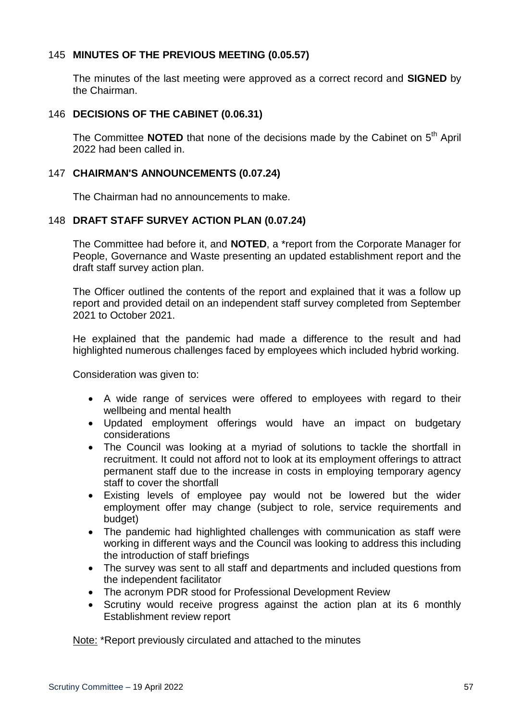# 145 **MINUTES OF THE PREVIOUS MEETING (0.05.57)**

The minutes of the last meeting were approved as a correct record and **SIGNED** by the Chairman.

### 146 **DECISIONS OF THE CABINET (0.06.31)**

The Committee **NOTED** that none of the decisions made by the Cabinet on 5<sup>th</sup> April 2022 had been called in.

## 147 **CHAIRMAN'S ANNOUNCEMENTS (0.07.24)**

The Chairman had no announcements to make.

## 148 **DRAFT STAFF SURVEY ACTION PLAN (0.07.24)**

The Committee had before it, and **NOTED**, a \*report from the Corporate Manager for People, Governance and Waste presenting an updated establishment report and the draft staff survey action plan.

The Officer outlined the contents of the report and explained that it was a follow up report and provided detail on an independent staff survey completed from September 2021 to October 2021.

He explained that the pandemic had made a difference to the result and had highlighted numerous challenges faced by employees which included hybrid working.

Consideration was given to:

- A wide range of services were offered to employees with regard to their wellbeing and mental health
- Updated employment offerings would have an impact on budgetary considerations
- The Council was looking at a myriad of solutions to tackle the shortfall in recruitment. It could not afford not to look at its employment offerings to attract permanent staff due to the increase in costs in employing temporary agency staff to cover the shortfall
- Existing levels of employee pay would not be lowered but the wider employment offer may change (subject to role, service requirements and budget)
- The pandemic had highlighted challenges with communication as staff were working in different ways and the Council was looking to address this including the introduction of staff briefings
- The survey was sent to all staff and departments and included questions from the independent facilitator
- The acronym PDR stood for Professional Development Review
- Scrutiny would receive progress against the action plan at its 6 monthly Establishment review report

Note: \*Report previously circulated and attached to the minutes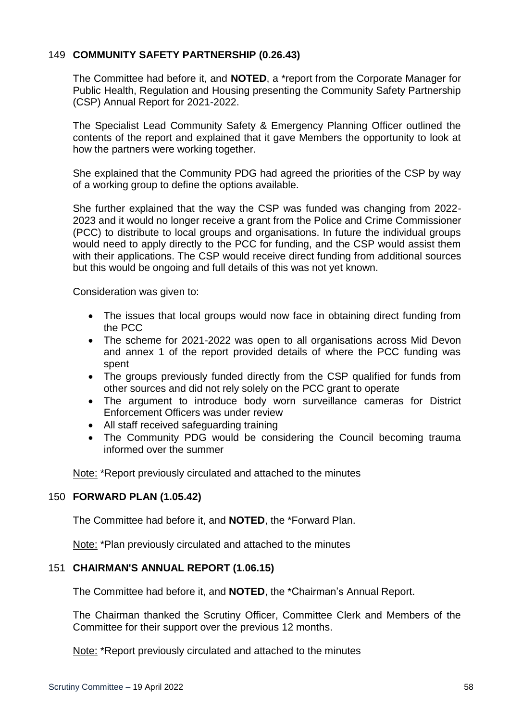# 149 **COMMUNITY SAFETY PARTNERSHIP (0.26.43)**

The Committee had before it, and **NOTED**, a \*report from the Corporate Manager for Public Health, Regulation and Housing presenting the Community Safety Partnership (CSP) Annual Report for 2021-2022.

The Specialist Lead Community Safety & Emergency Planning Officer outlined the contents of the report and explained that it gave Members the opportunity to look at how the partners were working together.

She explained that the Community PDG had agreed the priorities of the CSP by way of a working group to define the options available.

She further explained that the way the CSP was funded was changing from 2022- 2023 and it would no longer receive a grant from the Police and Crime Commissioner (PCC) to distribute to local groups and organisations. In future the individual groups would need to apply directly to the PCC for funding, and the CSP would assist them with their applications. The CSP would receive direct funding from additional sources but this would be ongoing and full details of this was not yet known.

Consideration was given to:

- The issues that local groups would now face in obtaining direct funding from the PCC
- The scheme for 2021-2022 was open to all organisations across Mid Devon and annex 1 of the report provided details of where the PCC funding was spent
- The groups previously funded directly from the CSP qualified for funds from other sources and did not rely solely on the PCC grant to operate
- The argument to introduce body worn surveillance cameras for District Enforcement Officers was under review
- All staff received safeguarding training
- The Community PDG would be considering the Council becoming trauma informed over the summer

Note: \*Report previously circulated and attached to the minutes

## 150 **FORWARD PLAN (1.05.42)**

The Committee had before it, and **NOTED**, the \*Forward Plan.

Note: \*Plan previously circulated and attached to the minutes

## 151 **CHAIRMAN'S ANNUAL REPORT (1.06.15)**

The Committee had before it, and **NOTED**, the \*Chairman's Annual Report.

The Chairman thanked the Scrutiny Officer, Committee Clerk and Members of the Committee for their support over the previous 12 months.

Note: \*Report previously circulated and attached to the minutes